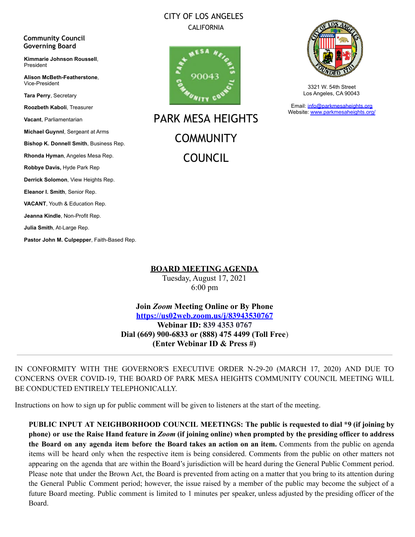## CITY OF LOS ANGELES CALIFORNIA

#### **Community Council Governing Board**

**Kimmarie Johnson Roussell**, President

**Alison McBeth-Featherstone**, Vice-President

**Tara Perry**, Secretary

**Roozbeth Kaboli**, Treasurer

**Vacant**, Parliamentarian

**Michael Guynnl**, Sergeant at Arms

**Bishop K. Donnell Smith**, Business Rep.

**Rhonda Hyman**, Angeles Mesa Rep.

**Robbye Davis,** Hyde Park Rep

**Derrick Solomon**, View Heights Rep.

**Eleanor I. Smith**, Senior Rep.

**VACANT**, Youth & Education Rep.

**Jeanna Kindle**, Non-Profit Rep.

**Julia Smith**, At-Large Rep.

**Pastor John M. Culpepper**, Faith-Based Rep.



PARK MESA HEIGHTS **COMMUNITY** COUNCIL



3321 W. 54th Street Los Angeles, CA 90043

Email: [info@parkmesaheights.org](mailto:info@parkmesaheights.org) Website: [www.parkmesaheights.org/](http://www.parkmesaheights.org/)

**BOARD MEETING AGENDA**

Tuesday, August 17, 2021 6:00 pm

**Join** *Zoom* **Meeting Online or By Phone <https://us02web.zoom.us/j/83943530767> Webinar ID: 839 4353 0767 Dial (669) 900-6833 or (888) 475 4499 (Toll Free**) **(Enter Webinar ID & Press #)**

IN CONFORMITY WITH THE GOVERNOR'S EXECUTIVE ORDER N-29-20 (MARCH 17, 2020) AND DUE TO CONCERNS OVER COVID-19, THE BOARD OF PARK MESA HEIGHTS COMMUNITY COUNCIL MEETING WILL BE CONDUCTED ENTIRELY TELEPHONICALLY.

Instructions on how to sign up for public comment will be given to listeners at the start of the meeting.

**PUBLIC INPUT AT NEIGHBORHOOD COUNCIL MEETINGS: The public is requested to dial \*9 (if joining by** phone) or use the Raise Hand feature in Zoom (if joining online) when prompted by the presiding officer to address **the Board on any agenda item before the Board takes an action on an item.** Comments from the public on agenda items will be heard only when the respective item is being considered. Comments from the public on other matters not appearing on the agenda that are within the Board's jurisdiction will be heard during the General Public Comment period. Please note that under the Brown Act, the Board is prevented from acting on a matter that you bring to its attention during the General Public Comment period; however, the issue raised by a member of the public may become the subject of a future Board meeting. Public comment is limited to 1 minutes per speaker, unless adjusted by the presiding officer of the Board.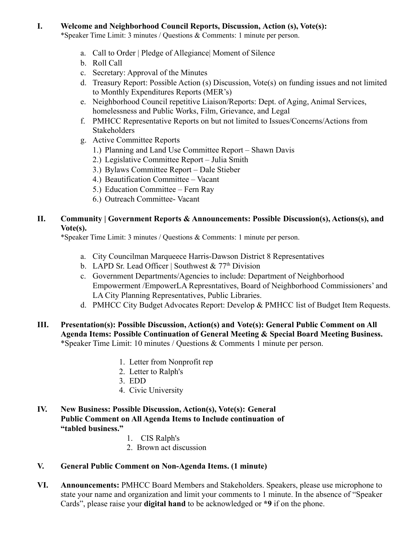#### **I. Welcome and Neighborhood Council Reports, Discussion, Action (s), Vote(s):**

\*Speaker Time Limit: 3 minutes / Questions & Comments: 1 minute per person.

- a. Call to Order | Pledge of Allegiance| Moment of Silence
- b. Roll Call
- c. Secretary: Approval of the Minutes
- d. Treasury Report: Possible Action (s) Discussion, Vote(s) on funding issues and not limited to Monthly Expenditures Reports (MER's)
- e. Neighborhood Council repetitive Liaison/Reports: Dept. of Aging, Animal Services, homelessness and Public Works, Film, Grievance, and Legal
- f. PMHCC Representative Reports on but not limited to Issues/Concerns/Actions from **Stakeholders**
- g. Active Committee Reports
	- 1.) Planning and Land Use Committee Report Shawn Davis
	- 2.) Legislative Committee Report Julia Smith
	- 3.) Bylaws Committee Report Dale Stieber
	- 4.) Beautification Committee Vacant
	- 5.) Education Committee Fern Ray
	- 6.) Outreach Committee- Vacant

## **II. Community | Government Reports & Announcements: Possible Discussion(s), Actions(s), and Vote(s).**

\*Speaker Time Limit: 3 minutes / Questions & Comments: 1 minute per person.

- a. City Councilman Marqueece Harris-Dawson District 8 Representatives
- b. LAPD Sr. Lead Officer | Southwest  $& 77<sup>th</sup> Division$
- c. Government Departments/Agencies to include: Department of Neighborhood Empowerment /EmpowerLA Represntatives, Board of Neighborhood Commissioners' and LA City Planning Representatives, Public Libraries.
- d. PMHCC City Budget Advocates Report: Develop & PMHCC list of Budget Item Requests.
- **III. Presentation(s): Possible Discussion, Action(s) and Vote(s): General Public Comment on All Agenda Items: Possible Continuation of General Meeting & Special Board Meeting Business.** \*Speaker Time Limit: 10 minutes / Questions & Comments 1 minute per person.
	- 1. Letter from Nonprofit rep
	- 2. Letter to Ralph's
	- 3. EDD
	- 4. Civic University

### **IV. New Business: Possible Discussion, Action(s), Vote(s): General Public Comment on All Agenda Items to Include continuation of "tabled business."**

- 1. CIS Ralph's
- 2. Brown act discussion

# **V. General Public Comment on Non-Agenda Items. (1 minute)**

**VI. Announcements:** PMHCC Board Members and Stakeholders. Speakers, please use microphone to state your name and organization and limit your comments to 1 minute. In the absence of "Speaker Cards", please raise your **digital hand** to be acknowledged or **\*9** if on the phone.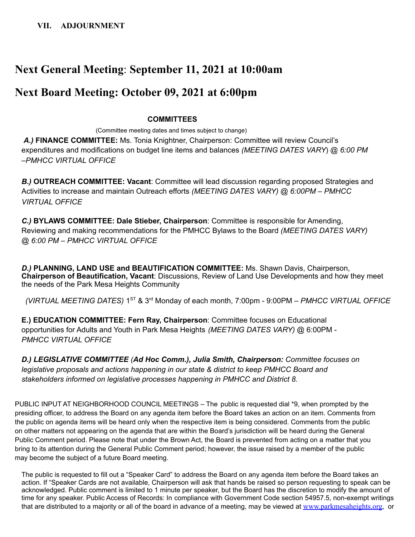# **Next General Meeting**: **September 11, 2021 at 10:00am**

# **Next Board Meeting: October 09, 2021 at 6:00pm**

#### **COMMITTEES**

(Committee meeting dates and times subject to change) *A.)* **FINANCE COMMITTEE:** Ms. Tonia Knightner, Chairperson: Committee will review Council's expenditures and modifications on budget line items and balances *(MEETING DATES VARY*) @ *6:00 PM –PMHCC VIRTUAL OFFICE*

*B.)* **OUTREACH COMMITTEE: Vacant**: Committee will lead discussion regarding proposed Strategies and Activities to increase and maintain Outreach efforts *(MEETING DATES VARY) @ 6:00PM – PMHCC VIRTUAL OFFICE*

*C.)* **BYLAWS COMMITTEE: Dale Stieber, Chairperson**: Committee is responsible for Amending, Reviewing and making recommendations for the PMHCC Bylaws to the Board *(MEETING DATES VARY) @ 6:00 PM – PMHCC VIRTUAL OFFICE*

*D.)* **PLANNING, LAND USE and BEAUTIFICATION COMMITTEE:** Ms. Shawn Davis, Chairperson, **Chairperson of Beautification, Vacant**: Discussions, Review of Land Use Developments and how they meet the needs of the Park Mesa Heights Community

*(VIRTUAL MEETING DATES)* 1 ST & 3 rd Monday of each month, 7:00pm - 9:00PM *– PMHCC VIRTUAL OFFICE*

**E.) EDUCATION COMMITTEE: Fern Ray, Chairperson**: Committee focuses on Educational opportunities for Adults and Youth in Park Mesa Heights *(MEETING DATES VARY)* @ 6:00PM - *PMHCC VIRTUAL OFFICE*

*D.) LEGISLATIVE COMMITTEE (Ad Hoc Comm.), Julia Smith, Chairperson: Committee focuses on legislative proposals and actions happening in our state & district to keep PMHCC Board and stakeholders informed on legislative processes happening in PMHCC and District 8.*

PUBLIC INPUT AT NEIGHBORHOOD COUNCIL MEETINGS – The public is requested dial \*9, when prompted by the presiding officer, to address the Board on any agenda item before the Board takes an action on an item. Comments from the public on agenda items will be heard only when the respective item is being considered. Comments from the public on other matters not appearing on the agenda that are within the Board's jurisdiction will be heard during the General Public Comment period. Please note that under the Brown Act, the Board is prevented from acting on a matter that you bring to its attention during the General Public Comment period; however, the issue raised by a member of the public may become the subject of a future Board meeting.

The public is requested to fill out a "Speaker Card" to address the Board on any agenda item before the Board takes an action. If "Speaker Cards are not available, Chairperson will ask that hands be raised so person requesting to speak can be acknowledged. Public comment is limited to 1 minute per speaker, but the Board has the discretion to modify the amount of time for any speaker. Public Access of Records: In compliance with Government Code section 54957.5, non-exempt writings that are distributed to a majority or all of the board in advance of a meeting, may be viewed at [www.parkmesaheights.org](http://www.parkmesaheights.org), or